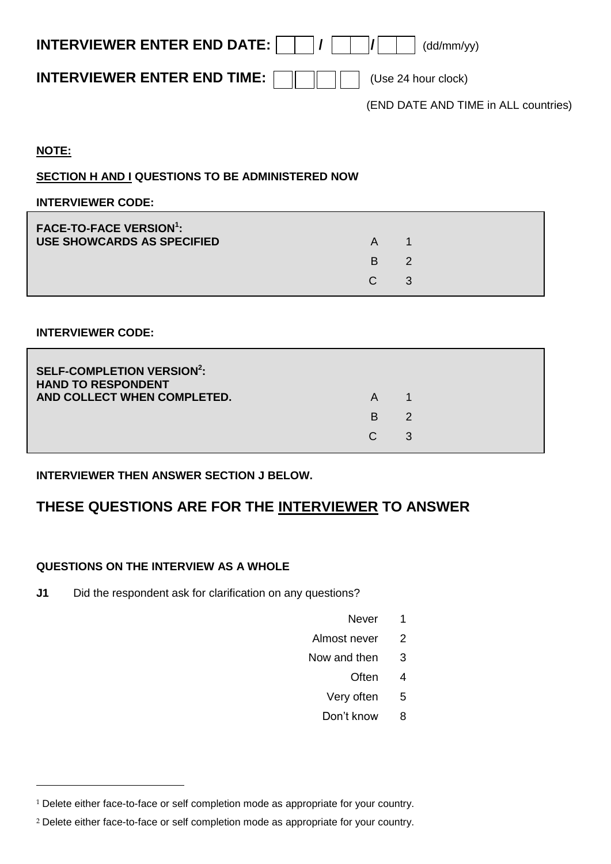| <b>INTERVIEWER ENTER END DATE:</b> $\vert \vert \vert / \vert \vert \vert / \vert \vert$ $\vert \vert$ (dd/mm/yy) |                                      |
|-------------------------------------------------------------------------------------------------------------------|--------------------------------------|
| <b>INTERVIEWER ENTER END TIME:</b> $   \t      \t  $ (Use 24 hour clock)                                          |                                      |
|                                                                                                                   | (END DATE AND TIME in ALL countries) |

#### **NOTE:**

 $\overline{a}$ 

#### **SECTION H AND I QUESTIONS TO BE ADMINISTERED NOW**

#### **INTERVIEWER CODE:**

| <b>FACE-TO-FACE VERSION<sup>1</sup>:</b><br>USE SHOWCARDS AS SPECIFIED | A             |  |
|------------------------------------------------------------------------|---------------|--|
|                                                                        | B.            |  |
|                                                                        | $\mathcal{C}$ |  |

#### **INTERVIEWER CODE:**

| <b>SELF-COMPLETION VERSION<sup>2</sup>:</b><br><b>HAND TO RESPONDENT</b><br>AND COLLECT WHEN COMPLETED. | A  |    |  |
|---------------------------------------------------------------------------------------------------------|----|----|--|
|                                                                                                         | B. | -2 |  |
|                                                                                                         | C. | 3  |  |

### **INTERVIEWER THEN ANSWER SECTION J BELOW.**

# **THESE QUESTIONS ARE FOR THE INTERVIEWER TO ANSWER**

#### **QUESTIONS ON THE INTERVIEW AS A WHOLE**

**J1** Did the respondent ask for clarification on any questions?

- Never<sub>1</sub>
- Almost never 2
- Now and then 3
	- Often 4
	- Very often 5
	- Don't know 8

<sup>&</sup>lt;sup>1</sup> Delete either face-to-face or self completion mode as appropriate for your country.

<sup>2</sup> Delete either face-to-face or self completion mode as appropriate for your country.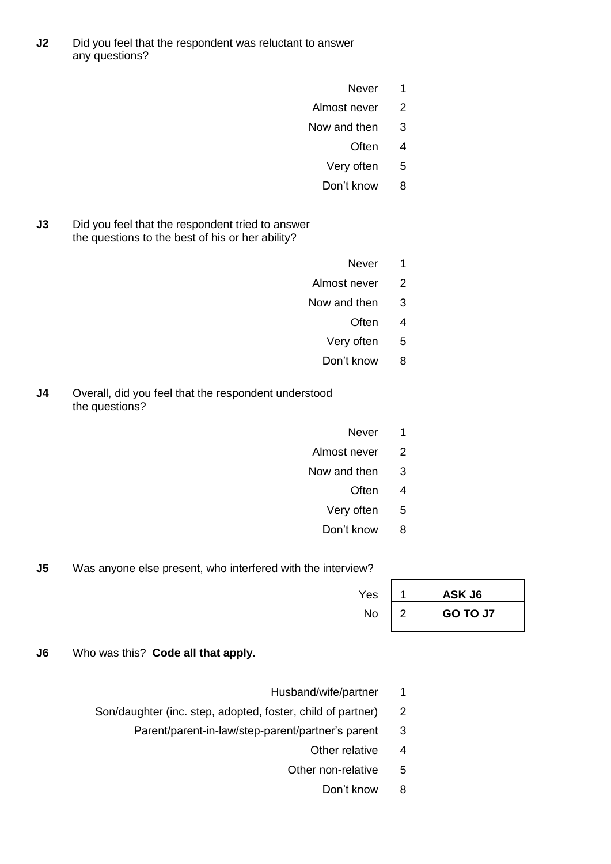- **J2** Did you feel that the respondent was reluctant to answer any questions?
	- Never<sub>1</sub>
	- Almost never 2
	- Now and then 3
		- Often 4
		- Very often 5
		- Don't know 8
- **J3** Did you feel that the respondent tried to answer the questions to the best of his or her ability?
- Never<sub>1</sub>
- Almost never 2
- Now and then 3
	- Often 4
	- Very often 5
	- Don't know 8
- **J4** Overall, did you feel that the respondent understood the questions?
	- Never<sub>1</sub>
	- Almost never 2
	- Now and then 3
		- Often 4
		- Very often 5
		- Don't know 8

**J5** Was anyone else present, who interfered with the interview?

| Yes       | ASK J6   |
|-----------|----------|
| <b>No</b> | GO TO J7 |

- **J6** Who was this? **Code all that apply.**
- Husband/wife/partner 1
- Son/daughter (inc. step, adopted, foster, child of partner) 2
	- Parent/parent-in-law/step-parent/partner's parent 3
		- Other relative 4
		- Other non-relative 5
			- Don't know 8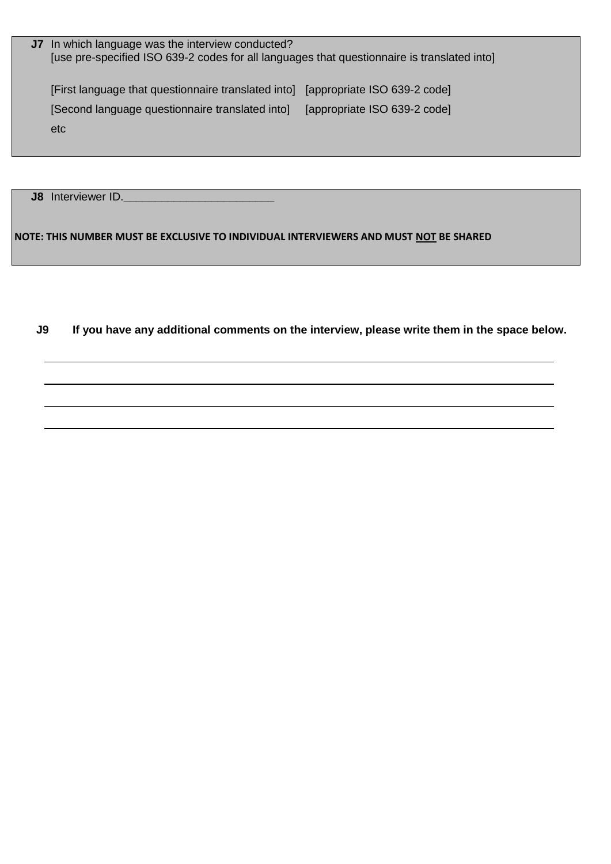| <b>J7</b> In which language was the interview conducted?<br>[use pre-specified ISO 639-2 codes for all languages that questionnaire is translated into] |                              |
|---------------------------------------------------------------------------------------------------------------------------------------------------------|------------------------------|
| [First language that questionnaire translated into] [appropriate ISO 639-2 code]<br>[Second language questionnaire translated into]<br>etc              | [appropriate ISO 639-2 code] |

**J8** Interviewer ID.**\_\_\_\_\_\_\_\_\_\_\_\_\_\_\_\_\_\_\_\_\_\_\_\_**

**NOTE: THIS NUMBER MUST BE EXCLUSIVE TO INDIVIDUAL INTERVIEWERS AND MUST NOT BE SHARED** 

**J9 If you have any additional comments on the interview, please write them in the space below.**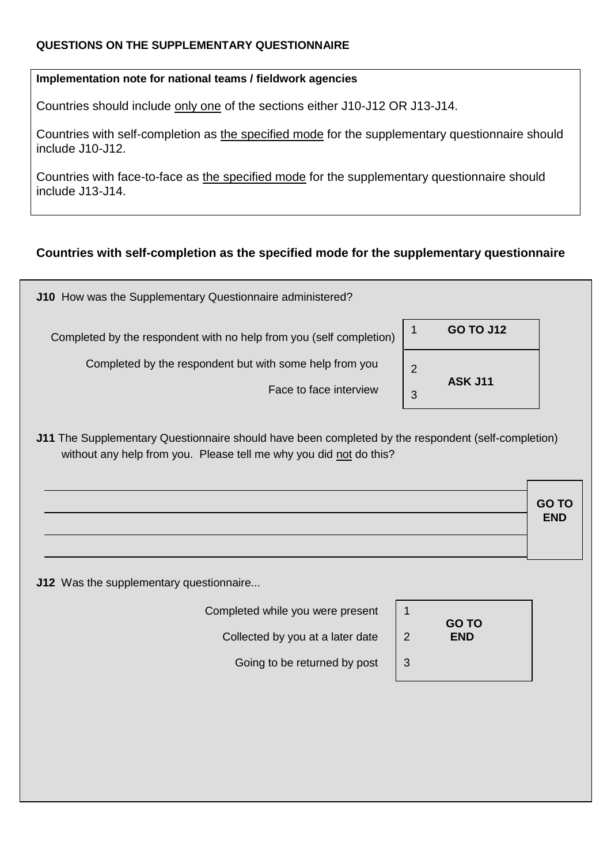### **QUESTIONS ON THE SUPPLEMENTARY QUESTIONNAIRE**

#### **Implementation note for national teams / fieldwork agencies**

Countries should include only one of the sections either J10-J12 OR J13-J14.

Countries with self-completion as the specified mode for the supplementary questionnaire should include J10-J12.

Countries with face-to-face as the specified mode for the supplementary questionnaire should include J13-J14.

## **Countries with self-completion as the specified mode for the supplementary questionnaire**

| Completed by the respondent with no help from you (self completion)               |        | <b>GO TO J12</b> |
|-----------------------------------------------------------------------------------|--------|------------------|
| Completed by the respondent but with some help from you<br>Face to face interview | 2<br>3 | <b>ASK J11</b>   |

without any help from you. Please tell me why you did not do this?

| GO TO<br>END |
|--------------|
|              |

**J12** Was the supplementary questionnaire...

Completed while you were present

Collected by you at a later date

Going to be returned by post

| 1 |                            |  |
|---|----------------------------|--|
| 2 | <b>GO TO</b><br><b>END</b> |  |
| 3 |                            |  |